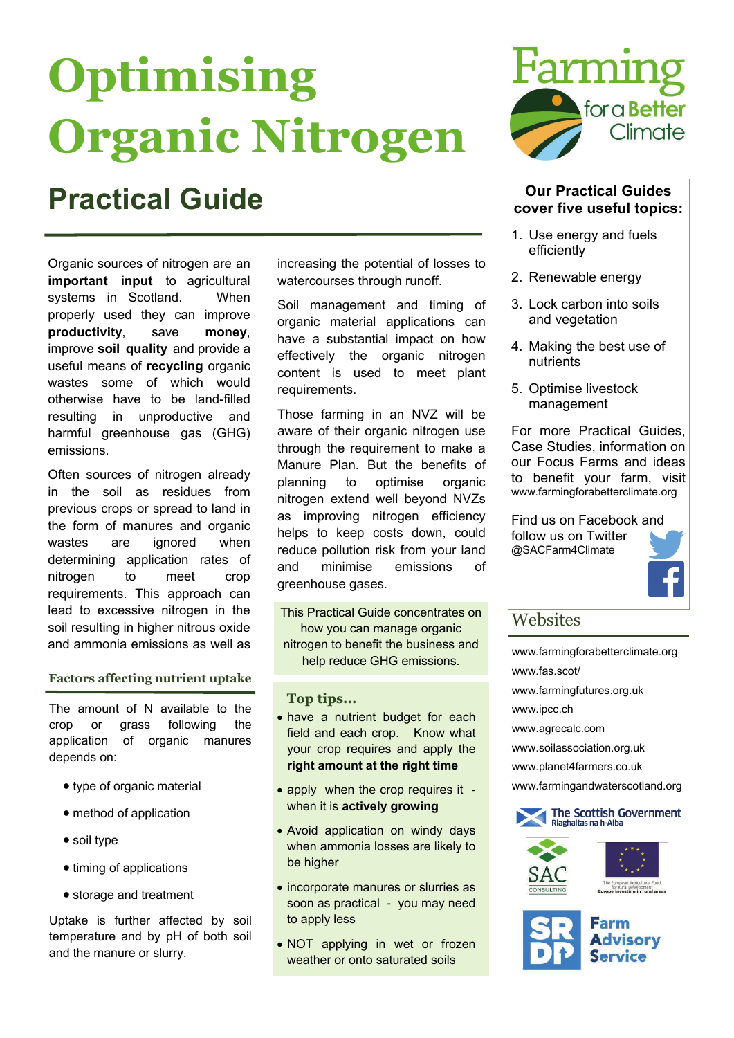# **Optimising Organic Nitrogen**

## **Practical Guide Our Practical Guides**

Organic sources of nitrogen are an **important input** to agricultural systems in Scotland. When properly used they can improve **productivity**, save **money**, improve **soil quality** and provide a useful means of **recycling** organic wastes some of which would otherwise have to be land-filled resulting in unproductive and harmful greenhouse gas (GHG) emissions.

Often sources of nitrogen already in the soil as residues from previous crops or spread to land in the form of manures and organic wastes are ignored when determining application rates of nitrogen to meet crop requirements. This approach can lead to excessive nitrogen in the soil resulting in higher nitrous oxide and ammonia emissions as well as

### **Factors affecting nutrient uptake**

The amount of N available to the crop or grass following the application of organic manures depends on:

- type of organic material
- method of application
- soil type
- timing of applications
- storage and treatment

Uptake is further affected by soil temperature and by pH of both soil and the manure or slurry.

increasing the potential of losses to watercourses through runoff.

Soil management and timing of organic material applications can have a substantial impact on how effectively the organic nitrogen content is used to meet plant requirements.

Those farming in an NVZ will be aware of their organic nitrogen use through the requirement to make a Manure Plan. But the benefits of planning to optimise organic nitrogen extend well beyond NVZs as improving nitrogen efficiency helps to keep costs down, could reduce pollution risk from your land and minimise emissions of greenhouse gases.

This Practical Guide concentrates on Websites how you can manage organic nitrogen to benefit the business and help reduce GHG emissions.

### **Top tips...**

- have a nutrient budget for each field and each crop. Know what your crop requires and apply the **right amount at the right time**
- apply when the crop requires it when it is **actively growing**
- Avoid application on windy days when ammonia losses are likely to be higher
- incorporate manures or slurries as soon as practical - you may need to apply less
- NOT applying in wet or frozen weather or onto saturated soils



### **cover five useful topics:**

- 1. Use energy and fuels efficiently
- 2. Renewable energy
- 3. Lock carbon into soils and vegetation
- 4. Making the best use of nutrients
- 5. Optimise livestock management

For more Practical Guides, Case Studies, information on our Focus Farms and ideas to benefit your farm, visit www.farmingforabetterclimate.org

Find us on Facebook and follow us on Twitter @SACFarm4Climate



[www.farmingforabetterclimate.org](http://www.farmingforabetterclimate.org) www.fas.scot/ [www.farmingfutures.org.uk](http://www.farmingfutures.org.uk) [www.ipcc.ch](http://www.ipcc.ch) [www.agrecalc.com](http://www.agrecalc.com)  [www.soilassociation.org.uk](http://www.soilassociation.org.uk) [www.planet4farmers.co.uk](http://www.planet4farmers.co.uk) [www.farmingandwaterscotland.org](http://www.farmingandwaterscotland.org)

#### The Scottish Government Riaghaltas na h-Alba



European Agricultural Fund<br>for Rural Development<br>no Invosting in rural areas